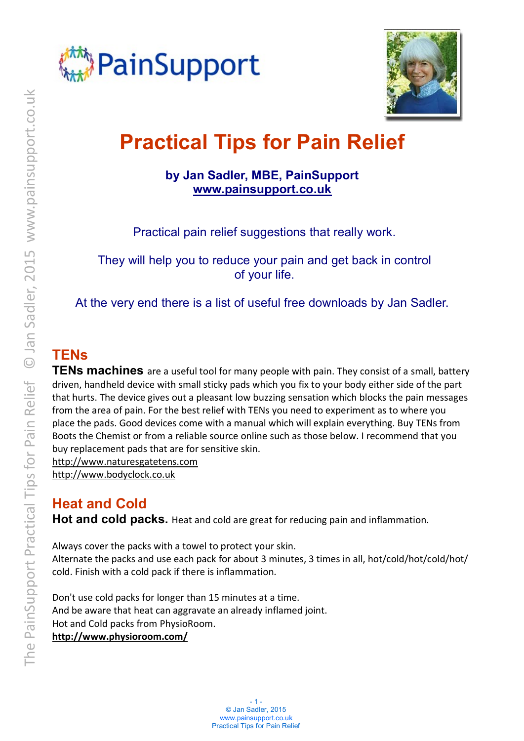



# **Practical Tips for Pain Relief**

#### **by Jan Sadler, MBE, PainSupport [www.painsupport.co.uk](http://www.painsupport.co.uk)**

Practical pain relief suggestions that really work.

They will help you to reduce your pain and get back in control of your life.

At the very end there is a list of useful free downloads by Jan Sadler.

# **TENs**

**TENs machines** are a useful tool for many people with pain. They consist of a small, battery driven, handheld device with small sticky pads which you fix to your body either side of the part that hurts. The device gives out a pleasant low buzzing sensation which blocks the pain messages from the area of pain. For the best relief with TENs you need to experiment as to where you place the pads. Good devices come with a manual which will explain everything. Buy TENs from Boots the Chemist or from a reliable source online such as those below. I recommend that you buy replacement pads that are for sensitive skin.

<http://www.naturesgatetens.com> <http://www.bodyclock.co.uk>

# **Heat and Cold**

**Hot and cold packs.** Heat and cold are great for reducing pain and inflammation.

Always cover the packs with a towel to protect your skin. Alternate the packs and use each pack for about 3 minutes, 3 times in all, hot/cold/hot/cold/hot/ cold. Finish with a cold pack if there is inflammation*.* 

Don't use cold packs for longer than 15 minutes at a time. And be aware that heat can aggravate an already inflamed joint. Hot and Cold packs from PhysioRoom. **<http://www.physioroom.com/>**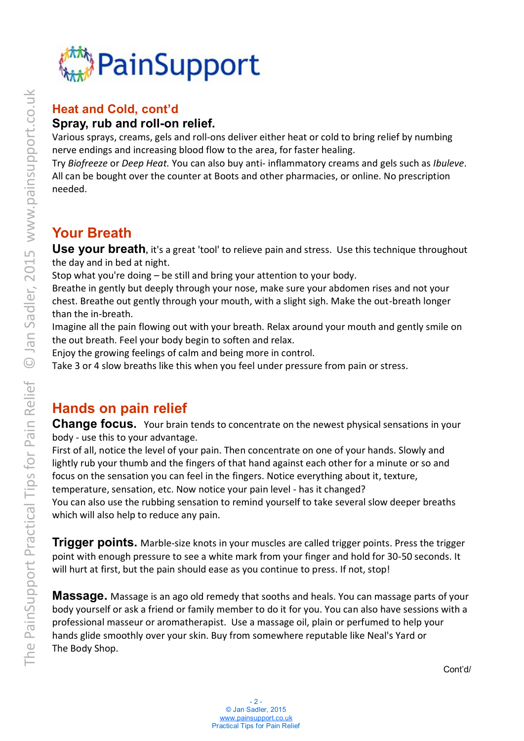

## **Heat and Cold, cont'd Spray, rub and roll-on relief.**

Various sprays, creams, gels and roll-ons deliver either heat or cold to bring relief by numbing nerve endings and increasing blood flow to the area, for faster healing.

Try *Biofreeze* or *Deep Heat.* You can also buy anti- inflammatory creams and gels such as *Ibuleve*. All can be bought over the counter at Boots and other pharmacies, or online. No prescription needed.

# **Your Breath**

Use vour breath, it's a great 'tool' to relieve pain and stress. Use this technique throughout the day and in bed at night.

Stop what you're doing – be still and bring your attention to your body.

Breathe in gently but deeply through your nose, make sure your abdomen rises and not your chest. Breathe out gently through your mouth, with a slight sigh. Make the out-breath longer than the in-breath.

Imagine all the pain flowing out with your breath. Relax around your mouth and gently smile on the out breath. Feel your body begin to soften and relax.

Enjoy the growing feelings of calm and being more in control.

Take 3 or 4 slow breaths like this when you feel under pressure from pain or stress.

# **Hands on pain relief**

**Change focus.** Your brain tends to concentrate on the newest physical sensations in your body - use this to your advantage.

First of all, notice the level of your pain. Then concentrate on one of your hands. Slowly and lightly rub your thumb and the fingers of that hand against each other for a minute or so and focus on the sensation you can feel in the fingers. Notice everything about it, texture, temperature, sensation, etc. Now notice your pain level - has it changed?

You can also use the rubbing sensation to remind yourself to take several slow deeper breaths which will also help to reduce any pain.

**Trigger points.** Marble-size knots in your muscles are called trigger points. Press the trigger point with enough pressure to see a white mark from your finger and hold for 30-50 seconds. It will hurt at first, but the pain should ease as you continue to press. If not, stop!

**Massage.** Massage is an ago old remedy that sooths and heals. You can massage parts of your body yourself or ask a friend or family member to do it for you. You can also have sessions with a professional masseur or aromatherapist. Use a massage oil, plain or perfumed to help your hands glide smoothly over your skin. Buy from somewhere reputable like Neal's Yard or The Body Shop.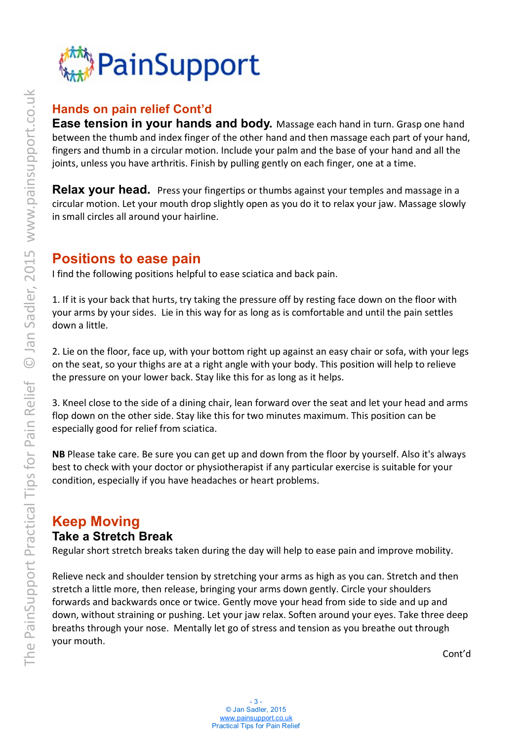

#### **Hands on pain relief Cont'd**

**Ease tension in your hands and body.** Massage each hand in turn. Grasp one hand between the thumb and index finger of the other hand and then massage each part of your hand, fingers and thumb in a circular motion. Include your palm and the base of your hand and all the joints, unless you have arthritis. Finish by pulling gently on each finger, one at a time.

**Relax your head.** Press your fingertips or thumbs against your temples and massage in a circular motion. Let your mouth drop slightly open as you do it to relax your jaw. Massage slowly in small circles all around your hairline.

## **Positions to ease pain**

I find the following positions helpful to ease sciatica and back pain.

1. If it is your back that hurts, try taking the pressure off by resting face down on the floor with your arms by your sides. Lie in this way for as long as is comfortable and until the pain settles down a little.

2. Lie on the floor, face up, with your bottom right up against an easy chair or sofa, with your legs on the seat, so your thighs are at a right angle with your body. This position will help to relieve the pressure on your lower back. Stay like this for as long as it helps.

3. Kneel close to the side of a dining chair, lean forward over the seat and let your head and arms flop down on the other side. Stay like this for two minutes maximum. This position can be especially good for relief from sciatica.

**NB** Please take care. Be sure you can get up and down from the floor by yourself. Also it's always best to check with your doctor or physiotherapist if any particular exercise is suitable for your condition, especially if you have headaches or heart problems.

#### **Keep Moving Take a Stretch Break**

Regular short stretch breaks taken during the day will help to ease pain and improve mobility.

Relieve neck and shoulder tension by stretching your arms as high as you can. Stretch and then stretch a little more, then release, bringing your arms down gently. Circle your shoulders forwards and backwards once or twice. Gently move your head from side to side and up and down, without straining or pushing. Let your jaw relax. Soften around your eyes. Take three deep breaths through your nose. Mentally let go of stress and tension as you breathe out through your mouth.

Cont'd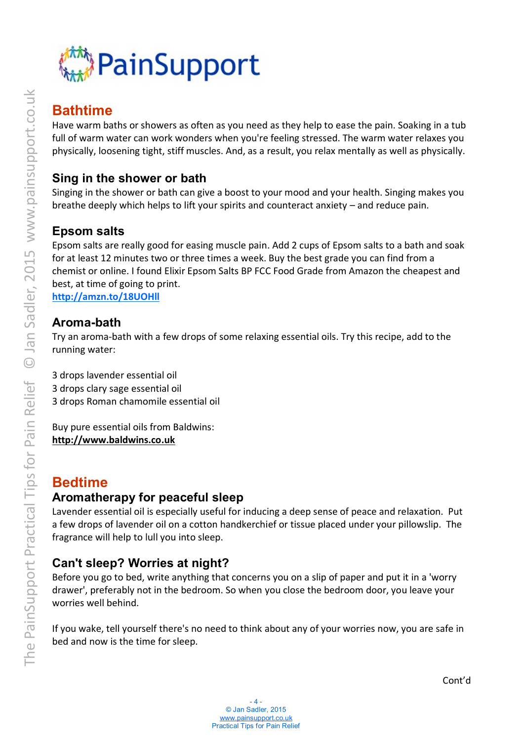

## **Bathtime**

Have warm baths or showers as often as you need as they help to ease the pain. Soaking in a tub full of warm water can work wonders when you're feeling stressed. The warm water relaxes you physically, loosening tight, stiff muscles. And, as a result, you relax mentally as well as physically.

#### **Sing in the shower or bath**

Singing in the shower or bath can give a boost to your mood and your health. Singing makes you breathe deeply which helps to lift your spirits and counteract anxiety – and reduce pain.

#### **Epsom salts**

Epsom salts are really good for easing muscle pain. Add 2 cups of Epsom salts to a bath and soak for at least 12 minutes two or three times a week. Buy the best grade you can find from a chemist or online. I found Elixir Epsom Salts BP FCC Food Grade from Amazon the cheapest and best, at time of going to print.

**<http://amzn.to/18UOHll>**

#### **Aroma-bath**

Try an aroma-bath with a few drops of some relaxing essential oils. Try this recipe, add to the running water:

3 drops lavender essential oil 3 drops clary sage essential oil 3 drops Roman chamomile essential oil

Buy pure essential oils from Baldwins: **[http://www.baldwins.co.uk](http://www.baldwins.co.uk/)**

## **Bedtime**

#### **Aromatherapy for peaceful sleep**

Lavender essential oil is especially useful for inducing a deep sense of peace and relaxation. Put a few drops of lavender oil on a cotton handkerchief or tissue placed under your pillowslip. The fragrance will help to lull you into sleep.

#### **Can't sleep? Worries at night?**

Before you go to bed, write anything that concerns you on a slip of paper and put it in a 'worry drawer', preferably not in the bedroom. So when you close the bedroom door, you leave your worries well behind.

If you wake, tell yourself there's no need to think about any of your worries now, you are safe in bed and now is the time for sleep.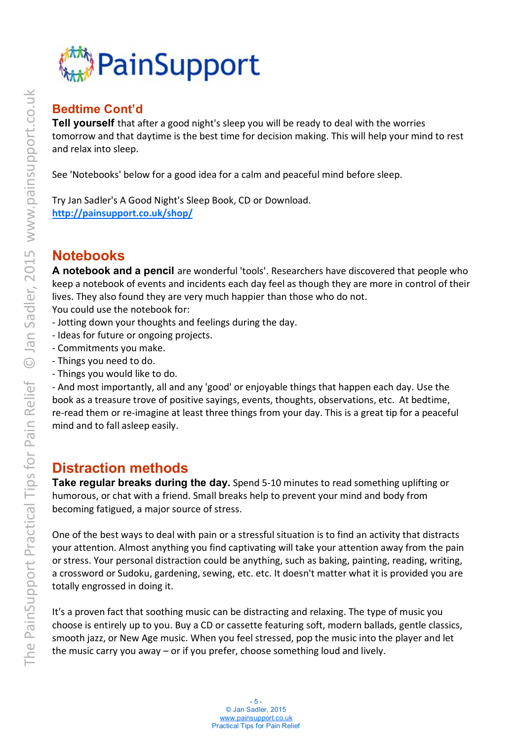

## **Bedtime Cont'd**

**Tell yourself** that after a good night's sleep you will be ready to deal with the worries tomorrow and that daytime is the best time for decision making. This will help your mind to rest and relax into sleep.

See 'Notebooks' below for a good idea for a calm and peaceful mind before sleep.

Try Jan Sadler's A Good Night's Sleep Book, CD or Download. **<http://painsupport.co.uk/shop/>**

## **Notebooks**

**A notebook and a pencil** are wonderful 'tools'. Researchers have discovered that people who keep a notebook of events and incidents each day feel as though they are more in control of their lives. They also found they are very much happier than those who do not. You could use the notebook for:

- Jotting down your thoughts and feelings during the day.
- Ideas for future or ongoing projects.
- Commitments you make.
- Things you need to do.
- Things you would like to do.

- And most importantly, all and any 'good' or enjoyable things that happen each day. Use the book as a treasure trove of positive sayings, events, thoughts, observations, etc. At bedtime, re-read them or re-imagine at least three things from your day. This is a great tip for a peaceful mind and to fall asleep easily.

## **Distraction methods**

**Take regular breaks during the day.** Spend 5-10 minutes to read something uplifting or humorous, or chat with a friend. Small breaks help to prevent your mind and body from becoming fatigued, a major source of stress.

One of the best ways to deal with pain or a stressful situation is to find an activity that distracts your attention. Almost anything you find captivating will take your attention away from the pain or stress. Your personal distraction could be anything, such as baking, painting, reading, writing, a crossword or Sudoku, gardening, sewing, etc. etc. It doesn't matter what it is provided you are totally engrossed in doing it.

It's a proven fact that soothing music can be distracting and relaxing. The type of music you choose is entirely up to you. Buy a CD or cassette featuring soft, modern ballads, gentle classics, smooth jazz, or New Age music. When you feel stressed, pop the music into the player and let the music carry you away – or if you prefer, choose something loud and lively.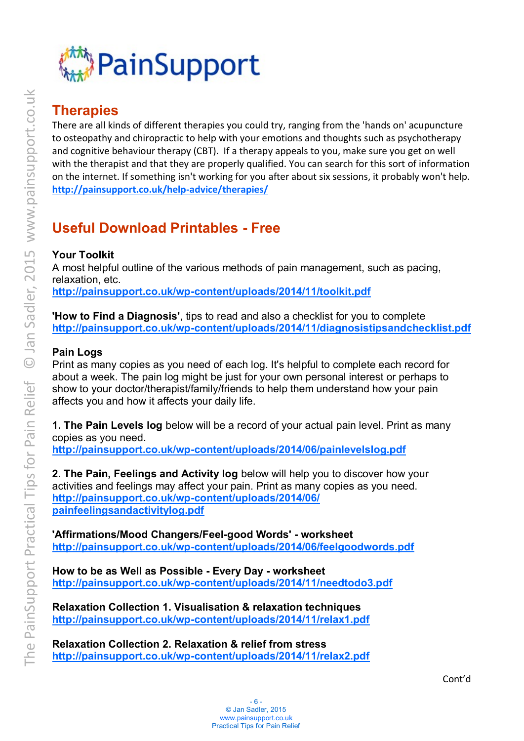

# **Therapies**

There are all kinds of different therapies you could try, ranging from the 'hands on' acupuncture to osteopathy and chiropractic to help with your emotions and thoughts such as psychotherapy and cognitive behaviour therapy (CBT). If a therapy appeals to you, make sure you get on well with the therapist and that they are properly qualified. You can search for this sort of information on the internet. If something isn't working for you after about six sessions, it probably won't help. **<http://painsupport.co.uk/help-advice/therapies/>**

# **Useful Download Printables - Free**

#### **Your Toolkit**

A most helpful outline of the various methods of pain management, such as pacing, relaxation, etc. **<http://painsupport.co.uk/wp-content/uploads/2014/11/toolkit.pdf>**

**'How to Find a Diagnosis'**, tips to read and also a checklist for you to complete **<http://painsupport.co.uk/wp-content/uploads/2014/11/diagnosistipsandchecklist.pdf>**

#### **Pain Logs**

Print as many copies as you need of each log. It's helpful to complete each record for about a week. The pain log might be just for your own personal interest or perhaps to show to your doctor/therapist/family/friends to help them understand how your pain affects you and how it affects your daily life.

**1. The Pain Levels log** below will be a record of your actual pain level. Print as many copies as you need.

**<http://painsupport.co.uk/wp-content/uploads/2014/06/painlevelslog.pdf>**

**2. The Pain, Feelings and Activity log** below will help you to discover how your activities and feelings may affect your pain. Print as many copies as you need. **[http://painsupport.co.uk/wp-content/uploads/2014/06/](http://painsupport.co.uk/wp-content/uploads/2014/06/painfeelingsandactivitylog.pdf) [painfeelingsandactivitylog.pdf](http://painsupport.co.uk/wp-content/uploads/2014/06/painfeelingsandactivitylog.pdf)** 

**'Affirmations/Mood Changers/Feel-good Words' - worksheet <http://painsupport.co.uk/wp-content/uploads/2014/06/feelgoodwords.pdf>**

**How to be as Well as Possible - Every Day - worksheet <http://painsupport.co.uk/wp-content/uploads/2014/11/needtodo3.pdf>**

**Relaxation Collection 1. Visualisation & relaxation techniques <http://painsupport.co.uk/wp-content/uploads/2014/11/relax1.pdf>**

**Relaxation Collection 2. Relaxation & relief from stress <http://painsupport.co.uk/wp-content/uploads/2014/11/relax2.pdf>**